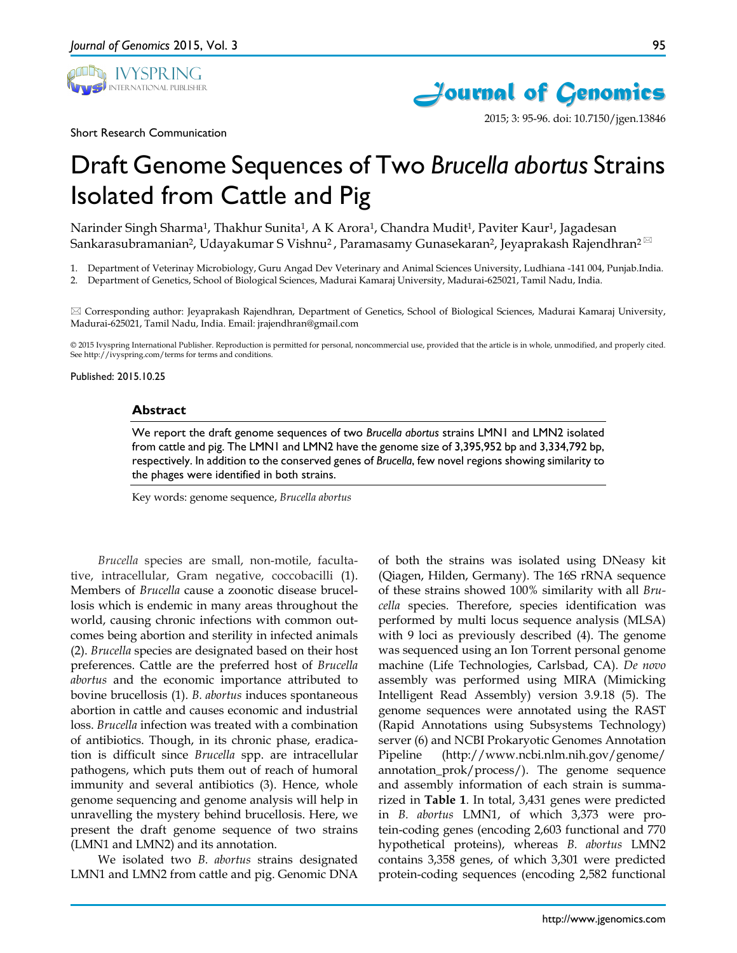





2015; 3: 95-96. doi: 10.7150/jgen.13846

# Draft Genome Sequences of Two *Brucella abortus* Strains Isolated from Cattle and Pig

Narinder Singh Sharma<sup>1</sup>, Thakhur Sunita<sup>1</sup>, A K Arora<sup>1</sup>, Chandra Mudit<sup>1</sup>, Paviter Kaur<sup>1</sup>, Jagadesan Sankarasubramanian<sup>2</sup>, Udayakumar S Vishnu<sup>2</sup>, Paramasamy Gunasekaran<sup>2</sup>, Jeyaprakash Rajendhran<sup>2⊠</sup>

1. Department of Veterinay Microbiology, Guru Angad Dev Veterinary and Animal Sciences University, Ludhiana -141 004, Punjab.India.

2. Department of Genetics, School of Biological Sciences, Madurai Kamaraj University, Madurai-625021, Tamil Nadu, India.

 Corresponding author: Jeyaprakash Rajendhran, Department of Genetics, School of Biological Sciences, Madurai Kamaraj University, Madurai-625021, Tamil Nadu, India. Email: jrajendhran@gmail.com

© 2015 Ivyspring International Publisher. Reproduction is permitted for personal, noncommercial use, provided that the article is in whole, unmodified, and properly cited. See http://ivyspring.com/terms for terms and conditions.

Published: 2015.10.25

#### **Abstract**

We report the draft genome sequences of two *Brucella abortus* strains LMN1 and LMN2 isolated from cattle and pig. The LMN1 and LMN2 have the genome size of 3,395,952 bp and 3,334,792 bp, respectively. In addition to the conserved genes of *Brucella*, few novel regions showing similarity to the phages were identified in both strains.

Key words: genome sequence, *Brucella abortus*

*Brucella* species are small, non-motile, facultative, intracellular, Gram negative, coccobacilli (1). Members of *Brucella* cause a zoonotic disease brucellosis which is endemic in many areas throughout the world, causing chronic infections with common outcomes being abortion and sterility in infected animals (2). *Brucella* species are designated based on their host preferences. Cattle are the preferred host of *Brucella abortus* and the economic importance attributed to bovine brucellosis (1). *B. abortus* induces spontaneous abortion in cattle and causes economic and industrial loss. *Brucella* infection was treated with a combination of antibiotics. Though, in its chronic phase, eradication is difficult since *Brucella* spp. are intracellular pathogens, which puts them out of reach of humoral immunity and several antibiotics (3). Hence, whole genome sequencing and genome analysis will help in unravelling the mystery behind brucellosis. Here, we present the draft genome sequence of two strains (LMN1 and LMN2) and its annotation.

We isolated two *B. abortus* strains designated LMN1 and LMN2 from cattle and pig. Genomic DNA

of both the strains was isolated using DNeasy kit (Qiagen, Hilden, Germany). The 16S rRNA sequence of these strains showed 100% similarity with all *Brucella* species. Therefore, species identification was performed by multi locus sequence analysis (MLSA) with 9 loci as previously described (4). The genome was sequenced using an Ion Torrent personal genome machine (Life Technologies, Carlsbad, CA). *De novo* assembly was performed using MIRA (Mimicking Intelligent Read Assembly) version 3.9.18 (5). The genome sequences were annotated using the RAST (Rapid Annotations using Subsystems Technology) server (6) and NCBI Prokaryotic Genomes Annotation Pipeline (http://www.ncbi.nlm.nih.gov/genome/ annotation\_prok/process/). The genome sequence and assembly information of each strain is summarized in **Table 1**. In total, 3,431 genes were predicted in *B. abortus* LMN1, of which 3,373 were protein-coding genes (encoding 2,603 functional and 770 hypothetical proteins), whereas *B. abortus* LMN2 contains 3,358 genes, of which 3,301 were predicted protein-coding sequences (encoding 2,582 functional